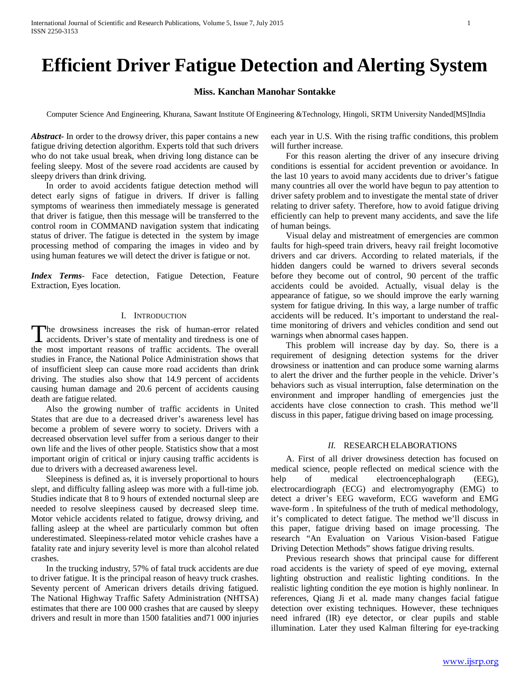# **Efficient Driver Fatigue Detection and Alerting System**

# **Miss. Kanchan Manohar Sontakke**

Computer Science And Engineering, Khurana, Sawant Institute Of Engineering &Technology, Hingoli, SRTM University Nanded[MS]India

*Abstract***-** In order to the drowsy driver, this paper contains a new fatigue driving detection algorithm. Experts told that such drivers who do not take usual break, when driving long distance can be feeling sleepy. Most of the severe road accidents are caused by sleepy drivers than drink driving.

 In order to avoid accidents fatigue detection method will detect early signs of fatigue in drivers. If driver is falling symptoms of weariness then immediately message is generated that driver is fatigue, then this message will be transferred to the control room in COMMAND navigation system that indicating status of driver. The fatigue is detected in the system by image processing method of comparing the images in video and by using human features we will detect the driver is fatigue or not.

*Index Terms*- Face detection, Fatigue Detection, Feature Extraction, Eyes location.

# I. INTRODUCTION

he drowsiness increases the risk of human-error related The drowsiness increases the risk of human-error related accidents. Driver's state of mentality and tiredness is one of the most important reasons of traffic accidents. The overall studies in France, the National Police Administration shows that of insufficient sleep can cause more road accidents than drink driving. The studies also show that 14.9 percent of accidents causing human damage and 20.6 percent of accidents causing death are fatigue related.

 Also the growing number of traffic accidents in United States that are due to a decreased driver's awareness level has become a problem of severe worry to society. Drivers with a decreased observation level suffer from a serious danger to their own life and the lives of other people. Statistics show that a most important origin of critical or injury causing traffic accidents is due to drivers with a decreased awareness level.

 Sleepiness is defined as, it is inversely proportional to hours slept, and difficulty falling asleep was more with a full-time job. Studies indicate that 8 to 9 hours of extended nocturnal sleep are needed to resolve sleepiness caused by decreased sleep time. Motor vehicle accidents related to fatigue, drowsy driving, and falling asleep at the wheel are particularly common but often underestimated. Sleepiness-related motor vehicle crashes have a fatality rate and injury severity level is more than alcohol related crashes.

 In the trucking industry, 57% of fatal truck accidents are due to driver fatigue. It is the principal reason of heavy truck crashes. Seventy percent of American drivers details driving fatigued. The National Highway Traffic Safety Administration (NHTSA) estimates that there are 100 000 crashes that are caused by sleepy drivers and result in more than 1500 fatalities and71 000 injuries

each year in U.S. With the rising traffic conditions, this problem will further increase.

 For this reason alerting the driver of any insecure driving conditions is essential for accident prevention or avoidance. In the last 10 years to avoid many accidents due to driver's fatigue many countries all over the world have begun to pay attention to driver safety problem and to investigate the mental state of driver relating to driver safety. Therefore, how to avoid fatigue driving efficiently can help to prevent many accidents, and save the life of human beings.

 Visual delay and mistreatment of emergencies are common faults for high-speed train drivers, heavy rail freight locomotive drivers and car drivers. According to related materials, if the hidden dangers could be warned to drivers several seconds before they become out of control, 90 percent of the traffic accidents could be avoided. Actually, visual delay is the appearance of fatigue, so we should improve the early warning system for fatigue driving. In this way, a large number of traffic accidents will be reduced. It's important to understand the realtime monitoring of drivers and vehicles condition and send out warnings when abnormal cases happen.

 This problem will increase day by day. So, there is a requirement of designing detection systems for the driver drowsiness or inattention and can produce some warning alarms to alert the driver and the further people in the vehicle. Driver's behaviors such as visual interruption, false determination on the environment and improper handling of emergencies just the accidents have close connection to crash. This method we'll discuss in this paper, fatigue driving based on image processing.

#### *II.* RESEARCH ELABORATIONS

 A. First of all driver drowsiness detection has focused on medical science, people reflected on medical science with the help of medical electroencephalograph (EEG), electrocardiograph (ECG) and electromyography (EMG) to detect a driver's EEG waveform, ECG waveform and EMG wave-form . In spitefulness of the truth of medical methodology, it's complicated to detect fatigue. The method we'll discuss in this paper, fatigue driving based on image processing. The research "An Evaluation on Various Vision-based Fatigue Driving Detection Methods" shows fatigue driving results.

 Previous research shows that principal cause for different road accidents is the variety of speed of eye moving, external lighting obstruction and realistic lighting conditions. In the realistic lighting condition the eye motion is highly nonlinear. In references, Qiang Ji et al. made many changes facial fatigue detection over existing techniques. However, these techniques need infrared (IR) eye detector, or clear pupils and stable illumination. Later they used Kalman filtering for eye-tracking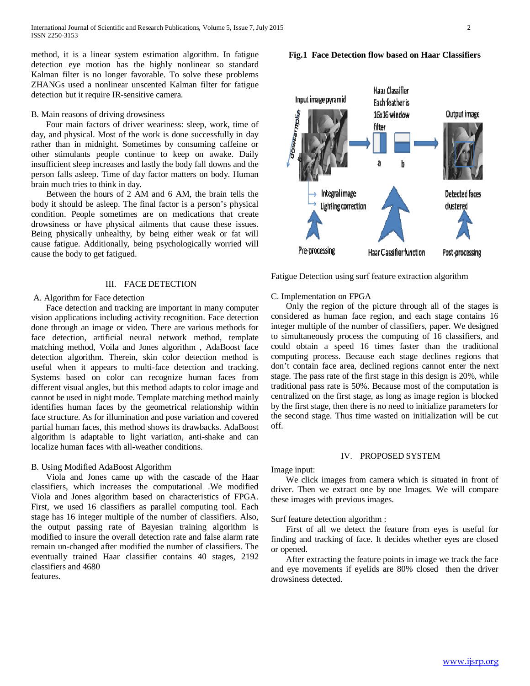method, it is a linear system estimation algorithm. In fatigue detection eye motion has the highly nonlinear so standard Kalman filter is no longer favorable. To solve these problems ZHANGs used a nonlinear unscented Kalman filter for fatigue detection but it require IR-sensitive camera.

#### B. Main reasons of driving drowsiness

 Four main factors of driver weariness: sleep, work, time of day, and physical. Most of the work is done successfully in day rather than in midnight. Sometimes by consuming caffeine or other stimulants people continue to keep on awake. Daily insufficient sleep increases and lastly the body fall downs and the person falls asleep. Time of day factor matters on body. Human brain much tries to think in day.

 Between the hours of 2 AM and 6 AM, the brain tells the body it should be asleep. The final factor is a person's physical condition. People sometimes are on medications that create drowsiness or have physical ailments that cause these issues. Being physically unhealthy, by being either weak or fat will cause fatigue. Additionally, being psychologically worried will cause the body to get fatigued.

### III. FACE DETECTION

# A. Algorithm for Face detection

 Face detection and tracking are important in many computer vision applications including activity recognition. Face detection done through an image or video. There are various methods for face detection, artificial neural network method, template matching method, Voila and Jones algorithm , AdaBoost face detection algorithm. Therein, skin color detection method is useful when it appears to multi-face detection and tracking. Systems based on color can recognize human faces from different visual angles, but this method adapts to color image and cannot be used in night mode. Template matching method mainly identifies human faces by the geometrical relationship within face structure. As for illumination and pose variation and covered partial human faces, this method shows its drawbacks. AdaBoost algorithm is adaptable to light variation, anti-shake and can localize human faces with all-weather conditions.

### B. Using Modified AdaBoost Algorithm

 Viola and Jones came up with the cascade of the Haar classifiers, which increases the computational .We modified Viola and Jones algorithm based on characteristics of FPGA. First, we used 16 classifiers as parallel computing tool. Each stage has 16 integer multiple of the number of classifiers. Also, the output passing rate of Bayesian training algorithm is modified to insure the overall detection rate and false alarm rate remain un-changed after modified the number of classifiers. The eventually trained Haar classifier contains 40 stages, 2192 classifiers and 4680

features.



Haar Classifier Input image pyramid Each feather is 16x16 window Output image filter Integral image Detected faces Lighting correction dustered Pre-processing Haar Classifier function Post-processing

Fatigue Detection using surf feature extraction algorithm

#### C. Implementation on FPGA

 Only the region of the picture through all of the stages is considered as human face region, and each stage contains 16 integer multiple of the number of classifiers, paper. We designed to simultaneously process the computing of 16 classifiers, and could obtain a speed 16 times faster than the traditional computing process. Because each stage declines regions that don't contain face area, declined regions cannot enter the next stage. The pass rate of the first stage in this design is 20%, while traditional pass rate is 50%. Because most of the computation is centralized on the first stage, as long as image region is blocked by the first stage, then there is no need to initialize parameters for the second stage. Thus time wasted on initialization will be cut off.

### IV. PROPOSED SYSTEM

## Image input:

 We click images from camera which is situated in front of driver. Then we extract one by one Images. We will compare these images with previous images.

Surf feature detection algorithm :

 First of all we detect the feature from eyes is useful for finding and tracking of face. It decides whether eyes are closed or opened.

 After extracting the feature points in image we track the face and eye movements if eyelids are 80% closed then the driver drowsiness detected.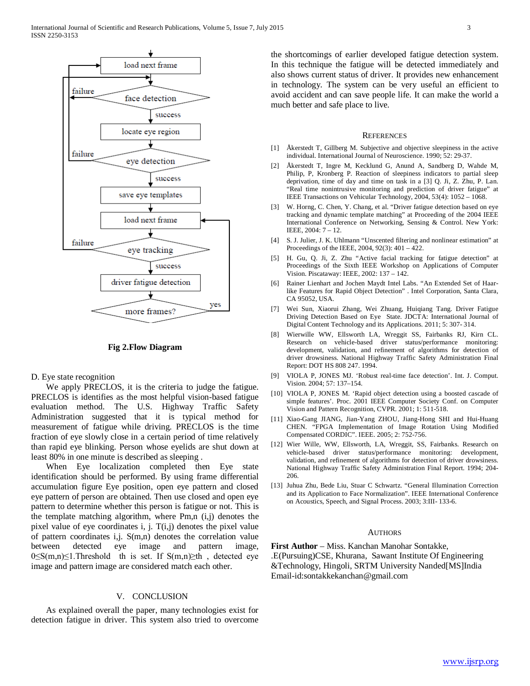

**Fig 2.Flow Diagram**

D. Eye state recognition

 We apply PRECLOS, it is the criteria to judge the fatigue. PRECLOS is identifies as the most helpful vision-based fatigue evaluation method. The U.S. Highway Traffic Safety Administration suggested that it is typical method for measurement of fatigue while driving. PRECLOS is the time fraction of eye slowly close in a certain period of time relatively than rapid eye blinking. Person whose eyelids are shut down at least 80% in one minute is described as sleeping .

 When Eye localization completed then Eye state identification should be performed. By using frame differential accumulation figure Eye position, open eye pattern and closed eye pattern of person are obtained. Then use closed and open eye pattern to determine whether this person is fatigue or not. This is the template matching algorithm, where Pm,n (i,j) denotes the pixel value of eye coordinates i, j. T(i,j) denotes the pixel value of pattern coordinates i,j. S(m,n) denotes the correlation value between detected eye image and pattern image, 0≤S(m,n)≤1.Threshold th is set. If S(m,n)≥th , detected eye image and pattern image are considered match each other.

#### V. CONCLUSION

 As explained overall the paper, many technologies exist for detection fatigue in driver. This system also tried to overcome the shortcomings of earlier developed fatigue detection system. In this technique the fatigue will be detected immediately and also shows current status of driver. It provides new enhancement in technology. The system can be very useful an efficient to avoid accident and can save people life. It can make the world a much better and safe place to live.

#### **REFERENCES**

- [1] Åkerstedt T, Gillberg M. Subjective and objective sleepiness in the active individual. International Journal of Neuroscience. 1990; 52: 29-37.
- [2] Åkerstedt T, Ingre M, Kecklund G, Anund A, Sandberg D, Wahde M, Philip, P, Kronberg P. Reaction of sleepiness indicators to partial sleep deprivation, time of day and time on task in a [3] Q. Ji, Z. Zhu, P. Lan. "Real time nonintrusive monitoring and prediction of driver fatigue" at IEEE Transactions on Vehicular Technology, 2004, 53(4): 1052 – 1068.
- [3] W. Horng, C. Chen, Y. Chang, et al. "Driver fatigue detection based on eye tracking and dynamic template matching" at Proceeding of the 2004 IEEE International Conference on Networking, Sensing & Control. New York: IEEE, 2004: 7 – 12.
- [4] S. J. Julier, J. K. Uhlmann "Unscented filtering and nonlinear estimation" at Proceedings of the IEEE, 2004, 92(3): 401 – 422.
- [5] H. Gu, Q. Ji, Z. Zhu "Active facial tracking for fatigue detection" at Proceedings of the Sixth IEEE Workshop on Applications of Computer Vision. Piscataway: IEEE, 2002: 137 – 142.
- [6] Rainer Lienhart and Jochen Maydt Intel Labs. "An Extended Set of Haarlike Features for Rapid Object Detection" . Intel Corporation, Santa Clara, CA 95052, USA.
- [7] Wei Sun, Xiaorui Zhang, Wei Zhuang, Huiqiang Tang. Driver Fatigue Driving Detection Based on Eye State. JDCTA: International Journal of Digital Content Technology and its Applications. 2011; 5: 307- 314.
- [8] Wierwille WW, Ellsworth LA, Wreggit SS, Fairbanks RJ, Kirn CL. Research on vehicle-based driver status/performance monitoring: development, validation, and refinement of algorithms for detection of driver drowsiness. National Highway Traffic Safety Administration Final Report: DOT HS 808 247. 1994.
- [9] VIOLA P, JONES MJ. 'Robust real-time face detection'. Int. J. Comput. Vision. 2004; 57: 137–154.
- [10] VIOLA P, JONES M. 'Rapid object detection using a boosted cascade of simple features'. Proc. 2001 IEEE Computer Society Conf. on Computer Vision and Pattern Recognition, CVPR. 2001; 1: 511-518.
- [11] Xiao-Gang JIANG, Jian-Yang ZHOU, Jiang-Hong SHI and Hui-Huang CHEN. "FPGA Implementation of Image Rotation Using Modified Compensated CORDIC". IEEE. 2005; 2: 752-756.
- [12] Wier Wille, WW, Ellsworth, LA, Wreggit, SS, Fairbanks. Research on vehicle-based driver status/performance monitoring: development, validation, and refinement of algorithms for detection of driver drowsiness. National Highway Traffic Safety Administration Final Report. 1994; 204- 206.
- [13] Juhua Zhu, Bede Liu, Stuar C Schwartz. "General Illumination Correction and its Application to Face Normalization". IEEE International Conference on Acoustics, Speech, and Signal Process. 2003; 3:III- 133-6.

# **AUTHORS**

**First Author** – Miss. Kanchan Manohar Sontakke, .E(Pursuing)CSE, Khurana, Sawant Institute Of Engineering &Technology, Hingoli, SRTM University Nanded[MS]India Email-id:sontakkekanchan@gmail.com